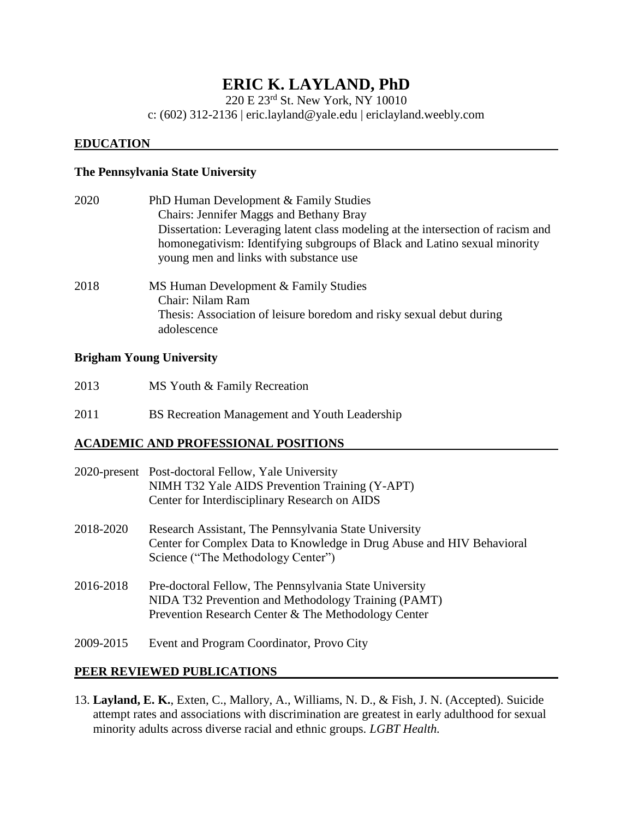# **ERIC K. LAYLAND, PhD**

220 E 23rd St. New York, NY 10010

c: (602) 312-2136 | eric.layland@yale.edu | ericlayland.weebly.com

#### **EDUCATION**

#### **The Pennsylvania State University**

| 2020 | PhD Human Development & Family Studies                                           |
|------|----------------------------------------------------------------------------------|
|      | <b>Chairs: Jennifer Maggs and Bethany Bray</b>                                   |
|      | Dissertation: Leveraging latent class modeling at the intersection of racism and |
|      | homonegativism: Identifying subgroups of Black and Latino sexual minority        |
|      | young men and links with substance use                                           |
| 2018 | MS Human Development & Family Studies                                            |
|      | Chair: Nilam Ram                                                                 |
|      | Thesis: Association of leisure boredom and risky sexual debut during             |
|      | adolescence                                                                      |

#### **Brigham Young University**

| 2013 | MS Youth & Family Recreation |
|------|------------------------------|
|------|------------------------------|

2011 BS Recreation Management and Youth Leadership

#### **ACADEMIC AND PROFESSIONAL POSITIONS**

|           | 2020-present Post-doctoral Fellow, Yale University<br>NIMH T32 Yale AIDS Prevention Training (Y-APT)<br>Center for Interdisciplinary Research on AIDS                |
|-----------|----------------------------------------------------------------------------------------------------------------------------------------------------------------------|
| 2018-2020 | Research Assistant, The Pennsylvania State University<br>Center for Complex Data to Knowledge in Drug Abuse and HIV Behavioral<br>Science ("The Methodology Center") |
| 2016-2018 | Pre-doctoral Fellow, The Pennsylvania State University<br>NIDA T32 Prevention and Methodology Training (PAMT)<br>Prevention Research Center & The Methodology Center |
| 2009-2015 | Event and Program Coordinator, Provo City                                                                                                                            |

#### **PEER REVIEWED PUBLICATIONS**

13. **Layland, E. K.**, Exten, C., Mallory, A., Williams, N. D., & Fish, J. N. (Accepted). Suicide attempt rates and associations with discrimination are greatest in early adulthood for sexual minority adults across diverse racial and ethnic groups. *LGBT Health.*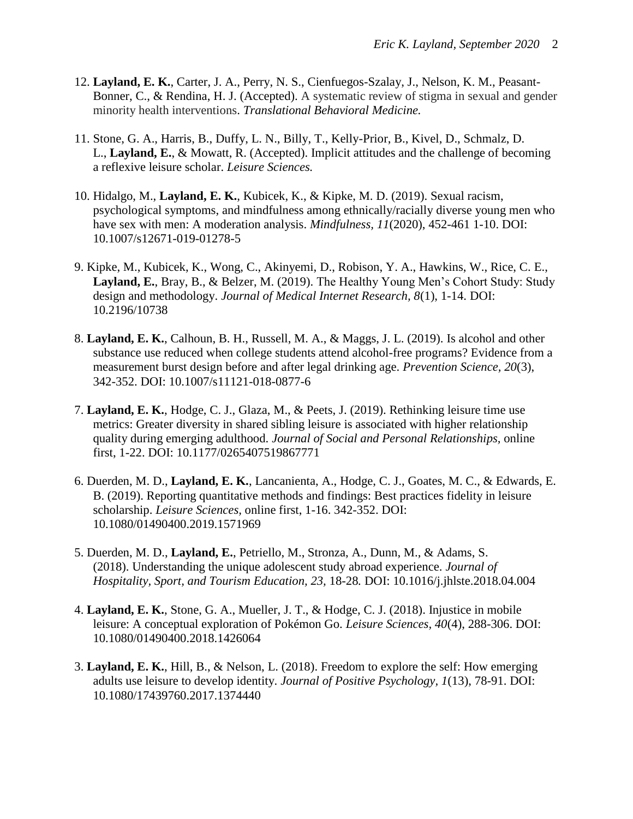- 12. **Layland, E. K.**, Carter, J. A., Perry, N. S., Cienfuegos-Szalay, J., Nelson, K. M., Peasant-Bonner, C., & Rendina, H. J. (Accepted). A systematic review of stigma in sexual and gender minority health interventions. *Translational Behavioral Medicine.*
- 11. Stone, G. A., Harris, B., Duffy, L. N., Billy, T., Kelly-Prior, B., Kivel, D., Schmalz, D. L., **Layland, E.**, & Mowatt, R. (Accepted). Implicit attitudes and the challenge of becoming a reflexive leisure scholar. *Leisure Sciences.*
- 10. Hidalgo, M., **Layland, E. K.**, Kubicek, K., & Kipke, M. D. (2019). Sexual racism, psychological symptoms, and mindfulness among ethnically/racially diverse young men who have sex with men: A moderation analysis. *Mindfulness*, 11(2020), 452-461 1-10. DOI: 10.1007/s12671-019-01278-5
- 9. Kipke, M., Kubicek, K., Wong, C., Akinyemi, D., Robison, Y. A., Hawkins, W., Rice, C. E., **Layland, E.**, Bray, B., & Belzer, M. (2019). The Healthy Young Men's Cohort Study: Study design and methodology. *Journal of Medical Internet Research, 8*(1), 1-14. DOI: [10.2196/10738](https://doi.org/10.2196/10738)
- 8. **Layland, E. K.**, Calhoun, B. H., Russell, M. A., & Maggs, J. L. (2019). Is alcohol and other substance use reduced when college students attend alcohol-free programs? Evidence from a measurement burst design before and after legal drinking age. *Prevention Science, 20*(3), 342-352. DOI: 10.1007/s11121-018-0877-6
- 7. **Layland, E. K.**, Hodge, C. J., Glaza, M., & Peets, J. (2019). Rethinking leisure time use metrics: Greater diversity in shared sibling leisure is associated with higher relationship quality during emerging adulthood. *Journal of Social and Personal Relationships,* online first, 1-22. DOI: [10.1177/0265407519867771](https://doi.org/10.1177%2F0265407519867771)
- 6. Duerden, M. D., **Layland, E. K.**, Lancanienta, A., Hodge, C. J., Goates, M. C., & Edwards, E. B. (2019). Reporting quantitative methods and findings: Best practices fidelity in leisure scholarship. *Leisure Sciences,* online first, 1-16. 342-352. DOI: 10.1080/01490400.2019.1571969
- 5. Duerden, M. D., **Layland, E.**, Petriello, M., Stronza, A., Dunn, M., & Adams, S. (2018). Understanding the unique adolescent study abroad experience. *Journal of Hospitality, Sport, and Tourism Education, 23,* 18-28*.* DOI: 10.1016/j.jhlste.2018.04.004
- 4. **Layland, E. K.**, Stone, G. A., Mueller, J. T., & Hodge, C. J. (2018). Injustice in mobile leisure: A conceptual exploration of Pokémon Go. *Leisure Sciences, 40*(4), 288-306. DOI: 10.1080/01490400.2018.1426064
- 3. **Layland, E. K.**, Hill, B., & Nelson, L. (2018). Freedom to explore the self: How emerging adults use leisure to develop identity. *Journal of Positive Psychology, 1*(13), 78-91. DOI: 10.1080/17439760.2017.1374440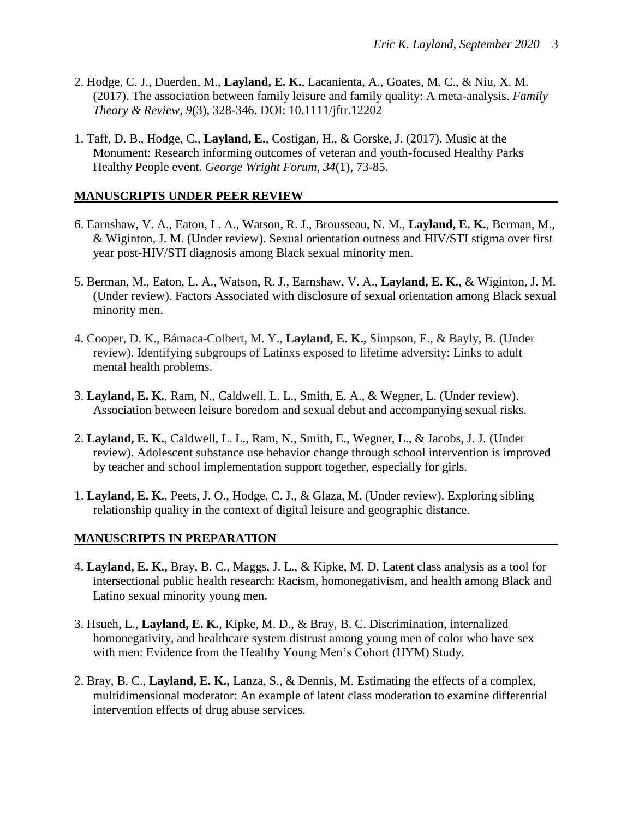- 2. Hodge, C. J., Duerden, M., **Layland, E. K.**, Lacanienta, A., Goates, M. C., & Niu, X. M. (2017). The association between family leisure and family quality: A meta-analysis. *Family Theory & Review, 9*(3), 328-346. DOI: 10.1111/jftr.12202
- 1. Taff, D. B., Hodge, C., **Layland, E.**, Costigan, H., & Gorske, J. (2017). Music at the Monument: Research informing outcomes of veteran and youth-focused Healthy Parks Healthy People event. *George Wright Forum, 34*(1), 73-85.

## **MANUSCRIPTS UNDER PEER REVIEW**

- 6. Earnshaw, V. A., Eaton, L. A., Watson, R. J., Brousseau, N. M., **Layland, E. K.**, Berman, M., & Wiginton, J. M. (Under review). Sexual orientation outness and HIV/STI stigma over first year post-HIV/STI diagnosis among Black sexual minority men.
- 5. Berman, M., Eaton, L. A., Watson, R. J., Earnshaw, V. A., **Layland, E. K.**, & Wiginton, J. M. (Under review). Factors Associated with disclosure of sexual orientation among Black sexual minority men.
- 4. Cooper, D. K., Bámaca-Colbert, M. Y., **Layland, E. K.,** Simpson, E., & Bayly, B. (Under review). Identifying subgroups of Latinxs exposed to lifetime adversity: Links to adult mental health problems.
- 3. **Layland, E. K.**, Ram, N., Caldwell, L. L., Smith, E. A., & Wegner, L. (Under review). Association between leisure boredom and sexual debut and accompanying sexual risks.
- 2. **Layland, E. K.**, Caldwell, L. L., Ram, N., Smith, E., Wegner, L., & Jacobs, J. J. (Under review). Adolescent substance use behavior change through school intervention is improved by teacher and school implementation support together, especially for girls.
- 1. **Layland, E. K.**, Peets, J. O., Hodge, C. J., & Glaza, M. (Under review). Exploring sibling relationship quality in the context of digital leisure and geographic distance.

#### **MANUSCRIPTS IN PREPARATION**

- 4. **Layland, E. K.,** Bray, B. C., Maggs, J. L., & Kipke, M. D. Latent class analysis as a tool for intersectional public health research: Racism, homonegativism, and health among Black and Latino sexual minority young men.
- 3. Hsueh, L., **Layland, E. K.**, Kipke, M. D., & Bray, B. C. Discrimination, internalized homonegativity, and healthcare system distrust among young men of color who have sex with men: Evidence from the Healthy Young Men's Cohort (HYM) Study.
- 2. Bray, B. C., **Layland, E. K.,** Lanza, S., & Dennis, M. Estimating the effects of a complex, multidimensional moderator: An example of latent class moderation to examine differential intervention effects of drug abuse services.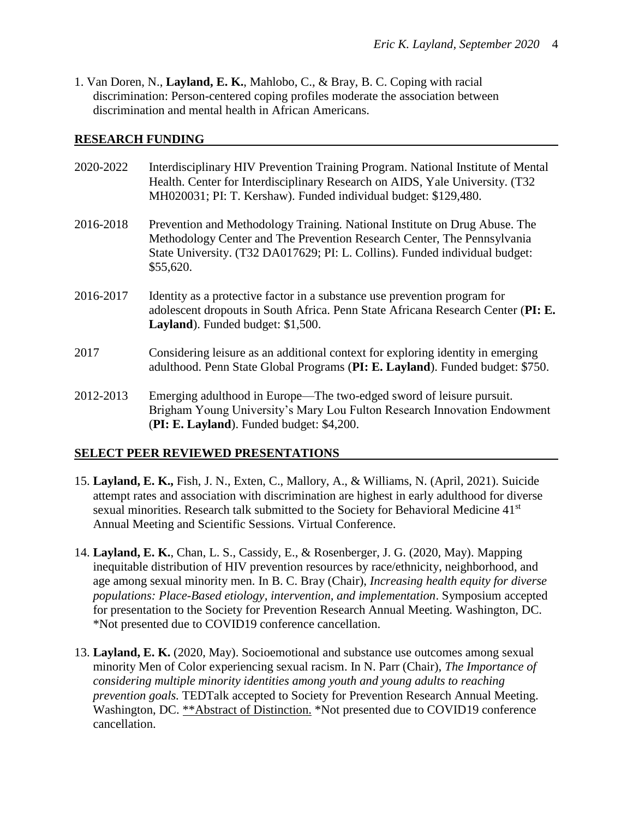1. Van Doren, N., **Layland, E. K.**, Mahlobo, C., & Bray, B. C. Coping with racial discrimination: Person-centered coping profiles moderate the association between discrimination and mental health in African Americans.

#### **RESEARCH FUNDING**

| 2020-2022 | Interdisciplinary HIV Prevention Training Program. National Institute of Mental<br>Health. Center for Interdisciplinary Research on AIDS, Yale University. (T32)<br>MH020031; PI: T. Kershaw). Funded individual budget: \$129,480.               |
|-----------|---------------------------------------------------------------------------------------------------------------------------------------------------------------------------------------------------------------------------------------------------|
| 2016-2018 | Prevention and Methodology Training. National Institute on Drug Abuse. The<br>Methodology Center and The Prevention Research Center, The Pennsylvania<br>State University. (T32 DA017629; PI: L. Collins). Funded individual budget:<br>\$55,620. |
| 2016-2017 | Identity as a protective factor in a substance use prevention program for<br>adolescent dropouts in South Africa. Penn State Africana Research Center (PI: E.<br>Layland). Funded budget: \$1,500.                                                |
| 2017      | Considering leisure as an additional context for exploring identity in emerging<br>adulthood. Penn State Global Programs (PI: E. Layland). Funded budget: \$750.                                                                                  |
| 2012-2013 | Emerging adulthood in Europe—The two-edged sword of leisure pursuit.<br>Brigham Young University's Mary Lou Fulton Research Innovation Endowment<br>(PI: E. Layland). Funded budget: \$4,200.                                                     |

## **SELECT PEER REVIEWED PRESENTATIONS**

- 15. **Layland, E. K.,** Fish, J. N., Exten, C., Mallory, A., & Williams, N. (April, 2021). Suicide attempt rates and association with discrimination are highest in early adulthood for diverse sexual minorities. Research talk submitted to the Society for Behavioral Medicine 41<sup>st</sup> Annual Meeting and Scientific Sessions. Virtual Conference.
- 14. **Layland, E. K.**, Chan, L. S., Cassidy, E., & Rosenberger, J. G. (2020, May). Mapping inequitable distribution of HIV prevention resources by race/ethnicity, neighborhood, and age among sexual minority men. In B. C. Bray (Chair), *Increasing health equity for diverse populations: Place-Based etiology, intervention, and implementation*. Symposium accepted for presentation to the Society for Prevention Research Annual Meeting. Washington, DC. \*Not presented due to COVID19 conference cancellation.
- 13. **Layland, E. K.** (2020, May). Socioemotional and substance use outcomes among sexual minority Men of Color experiencing sexual racism. In N. Parr (Chair), *The Importance of considering multiple minority identities among youth and young adults to reaching prevention goals.* TEDTalk accepted to Society for Prevention Research Annual Meeting. Washington, DC. \*\*Abstract of Distinction. \*Not presented due to COVID19 conference cancellation.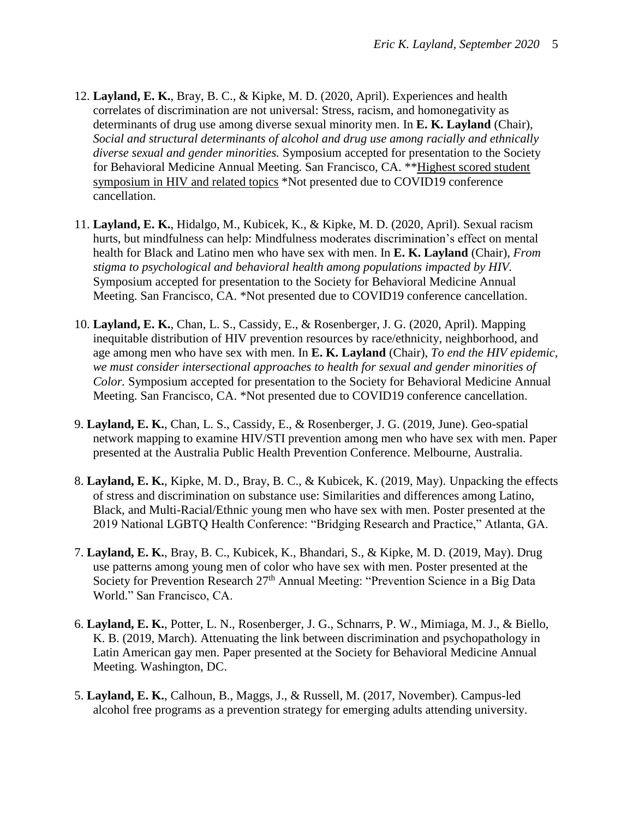- 12. **Layland, E. K.**, Bray, B. C., & Kipke, M. D. (2020, April). Experiences and health correlates of discrimination are not universal: Stress, racism, and homonegativity as determinants of drug use among diverse sexual minority men. In **E. K. Layland** (Chair), *Social and structural determinants of alcohol and drug use among racially and ethnically diverse sexual and gender minorities.* Symposium accepted for presentation to the Society for Behavioral Medicine Annual Meeting. San Francisco, CA. \*\*Highest scored student symposium in HIV and related topics \*Not presented due to COVID19 conference cancellation.
- 11. **Layland, E. K.**, Hidalgo, M., Kubicek, K., & Kipke, M. D. (2020, April). Sexual racism hurts, but mindfulness can help: Mindfulness moderates discrimination's effect on mental health for Black and Latino men who have sex with men. In **E. K. Layland** (Chair), *From stigma to psychological and behavioral health among populations impacted by HIV.* Symposium accepted for presentation to the Society for Behavioral Medicine Annual Meeting. San Francisco, CA. \*Not presented due to COVID19 conference cancellation.
- 10. **Layland, E. K.**, Chan, L. S., Cassidy, E., & Rosenberger, J. G. (2020, April). Mapping inequitable distribution of HIV prevention resources by race/ethnicity, neighborhood, and age among men who have sex with men. In **E. K. Layland** (Chair), *To end the HIV epidemic, we must consider intersectional approaches to health for sexual and gender minorities of Color.* Symposium accepted for presentation to the Society for Behavioral Medicine Annual Meeting. San Francisco, CA. \*Not presented due to COVID19 conference cancellation.
- 9. **Layland, E. K.**, Chan, L. S., Cassidy, E., & Rosenberger, J. G. (2019, June). Geo-spatial network mapping to examine HIV/STI prevention among men who have sex with men. Paper presented at the Australia Public Health Prevention Conference. Melbourne, Australia.
- 8. **Layland, E. K.**, Kipke, M. D., Bray, B. C., & Kubicek, K. (2019, May). Unpacking the effects of stress and discrimination on substance use: Similarities and differences among Latino, Black, and Multi-Racial/Ethnic young men who have sex with men. Poster presented at the 2019 National LGBTQ Health Conference: "Bridging Research and Practice," Atlanta, GA.
- 7. **Layland, E. K.**, Bray, B. C., Kubicek, K., Bhandari, S., & Kipke, M. D. (2019, May). Drug use patterns among young men of color who have sex with men. Poster presented at the Society for Prevention Research 27<sup>th</sup> Annual Meeting: "Prevention Science in a Big Data World." San Francisco, CA.
- 6. **Layland, E. K.**, Potter, L. N., Rosenberger, J. G., Schnarrs, P. W., Mimiaga, M. J., & Biello, K. B. (2019, March). Attenuating the link between discrimination and psychopathology in Latin American gay men. Paper presented at the Society for Behavioral Medicine Annual Meeting. Washington, DC.
- 5. **Layland, E. K.**, Calhoun, B., Maggs, J., & Russell, M. (2017, November). Campus-led alcohol free programs as a prevention strategy for emerging adults attending university.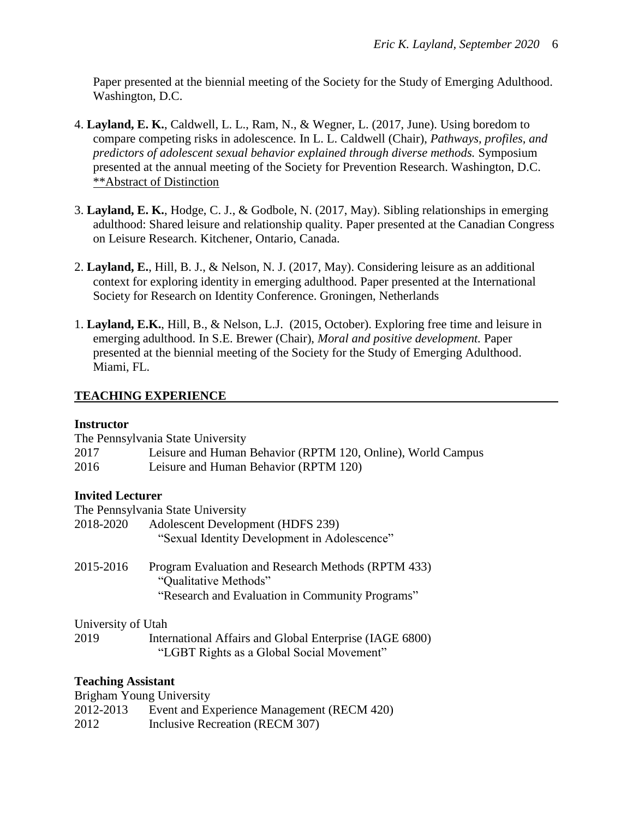Paper presented at the biennial meeting of the Society for the Study of Emerging Adulthood. Washington, D.C.

- 4. **Layland, E. K.**, Caldwell, L. L., Ram, N., & Wegner, L. (2017, June). Using boredom to compare competing risks in adolescence*.* In L. L. Caldwell (Chair), *Pathways, profiles, and predictors of adolescent sexual behavior explained through diverse methods.* Symposium presented at the annual meeting of the Society for Prevention Research. Washington, D.C. \*\*Abstract of Distinction
- 3. **Layland, E. K.**, Hodge, C. J., & Godbole, N. (2017, May). Sibling relationships in emerging adulthood: Shared leisure and relationship quality. Paper presented at the Canadian Congress on Leisure Research. Kitchener, Ontario, Canada.
- 2. **Layland, E.**, Hill, B. J., & Nelson, N. J. (2017, May). Considering leisure as an additional context for exploring identity in emerging adulthood. Paper presented at the International Society for Research on Identity Conference. Groningen, Netherlands
- 1. **Layland, E.K.**, Hill, B., & Nelson, L.J. (2015, October). Exploring free time and leisure in emerging adulthood. In S.E. Brewer (Chair), *Moral and positive development.* Paper presented at the biennial meeting of the Society for the Study of Emerging Adulthood. Miami, FL.

## **TEACHING EXPERIENCE**

#### **Instructor**

|                                 | The Pennsylvania State University                                                                    |
|---------------------------------|------------------------------------------------------------------------------------------------------|
| 2017                            | Leisure and Human Behavior (RPTM 120, Online), World Campus                                          |
| 2016                            | Leisure and Human Behavior (RPTM 120)                                                                |
| <b>Invited Lecturer</b>         |                                                                                                      |
|                                 | The Pennsylvania State University                                                                    |
| 2018-2020                       | Adolescent Development (HDFS 239)                                                                    |
|                                 | "Sexual Identity Development in Adolescence"                                                         |
| 2015-2016                       | Program Evaluation and Research Methods (RPTM 433)<br>"Qualitative Methods"                          |
|                                 | "Research and Evaluation in Community Programs"                                                      |
| University of Utah              |                                                                                                      |
| 2019                            | International Affairs and Global Enterprise (IAGE 6800)<br>"LGBT Rights as a Global Social Movement" |
| <b>Teaching Assistant</b>       |                                                                                                      |
| <b>Brigham Young University</b> |                                                                                                      |
| 2012-2013                       | Event and Experience Management (RECM 420)                                                           |
| 2012                            | Inclusive Recreation (RECM 307)                                                                      |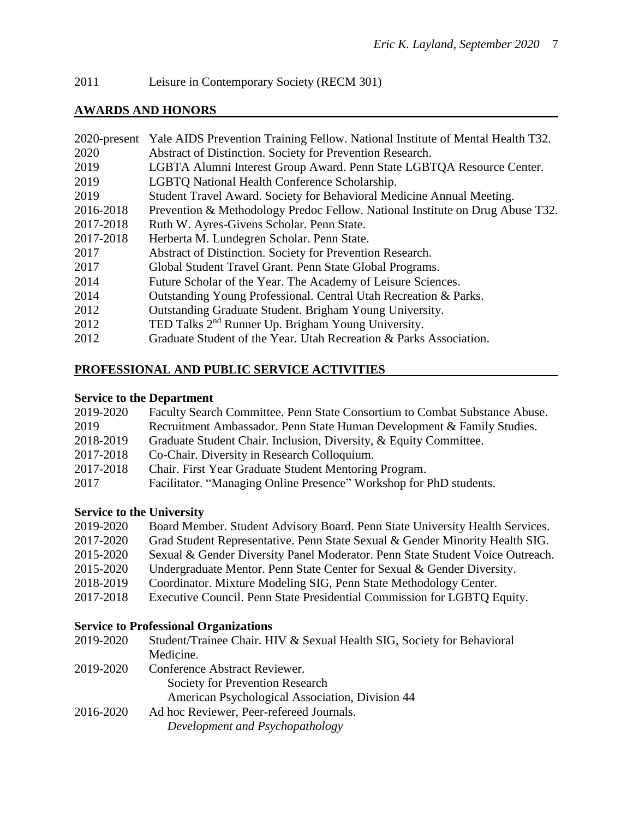2011 Leisure in Contemporary Society (RECM 301)

## **AWARDS AND HONORS**

|           | 2020-present Yale AIDS Prevention Training Fellow. National Institute of Mental Health T32. |
|-----------|---------------------------------------------------------------------------------------------|
| 2020      | Abstract of Distinction. Society for Prevention Research.                                   |
| 2019      | LGBTA Alumni Interest Group Award. Penn State LGBTQA Resource Center.                       |
| 2019      | LGBTQ National Health Conference Scholarship.                                               |
| 2019      | Student Travel Award. Society for Behavioral Medicine Annual Meeting.                       |
| 2016-2018 | Prevention & Methodology Predoc Fellow. National Institute on Drug Abuse T32.               |
| 2017-2018 | Ruth W. Ayres-Givens Scholar. Penn State.                                                   |
| 2017-2018 | Herberta M. Lundegren Scholar. Penn State.                                                  |
| 2017      | Abstract of Distinction. Society for Prevention Research.                                   |
| 2017      | Global Student Travel Grant. Penn State Global Programs.                                    |
| 2014      | Future Scholar of the Year. The Academy of Leisure Sciences.                                |
| 2014      | Outstanding Young Professional. Central Utah Recreation & Parks.                            |
| 2012      | Outstanding Graduate Student. Brigham Young University.                                     |
| 2012      | TED Talks 2 <sup>nd</sup> Runner Up. Brigham Young University.                              |
| 2012      | Graduate Student of the Year. Utah Recreation & Parks Association.                          |
|           |                                                                                             |

## **PROFESSIONAL AND PUBLIC SERVICE ACTIVITIES**

## **Service to the Department**

| 2019-2020 | Faculty Search Committee. Penn State Consortium to Combat Substance Abuse. |
|-----------|----------------------------------------------------------------------------|
| 2019      | Recruitment Ambassador. Penn State Human Development & Family Studies.     |
| 2018-2019 | Graduate Student Chair. Inclusion, Diversity, & Equity Committee.          |
| 2017-2018 | Co-Chair. Diversity in Research Colloquium.                                |
| 2017-2018 | Chair. First Year Graduate Student Mentoring Program.                      |
| 2017      | Facilitator. "Managing Online Presence" Workshop for PhD students.         |

## **Service to the University**

| 2019-2020 | Board Member. Student Advisory Board. Penn State University Health Services.  |
|-----------|-------------------------------------------------------------------------------|
| 2017-2020 | Grad Student Representative. Penn State Sexual & Gender Minority Health SIG.  |
| 2015-2020 | Sexual & Gender Diversity Panel Moderator. Penn State Student Voice Outreach. |
| 2015-2020 | Undergraduate Mentor. Penn State Center for Sexual & Gender Diversity.        |
| 2018-2019 | Coordinator. Mixture Modeling SIG, Penn State Methodology Center.             |
| 2017-2018 | Executive Council. Penn State Presidential Commission for LGBTQ Equity.       |

## **Service to Professional Organizations**

| 2019-2020 | Student/Trainee Chair. HIV & Sexual Health SIG, Society for Behavioral |
|-----------|------------------------------------------------------------------------|
|           | Medicine.                                                              |
| 2019-2020 | Conference Abstract Reviewer.                                          |
|           | Society for Prevention Research                                        |
|           | American Psychological Association, Division 44                        |
| 2016-2020 | Ad hoc Reviewer, Peer-refereed Journals.                               |
|           | Development and Psychopathology                                        |
|           |                                                                        |